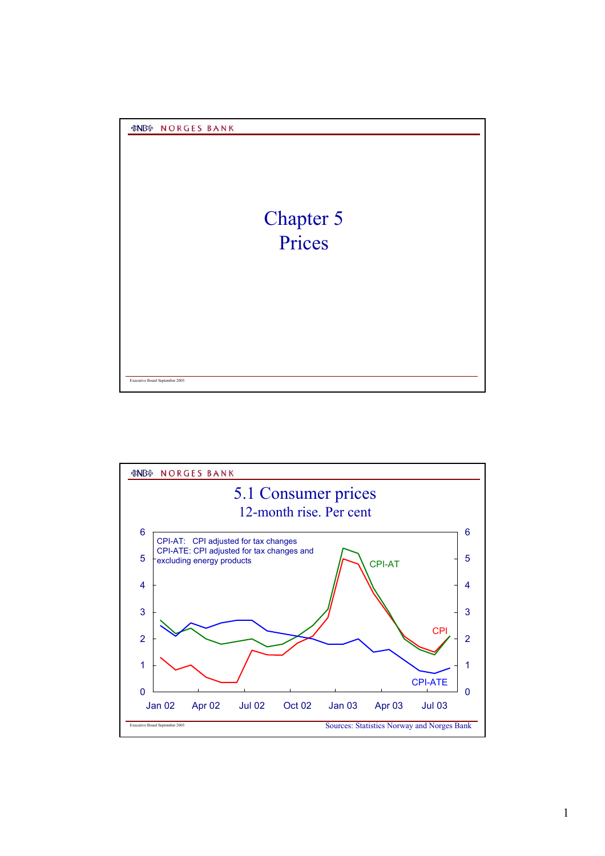

Executive Board September 2003

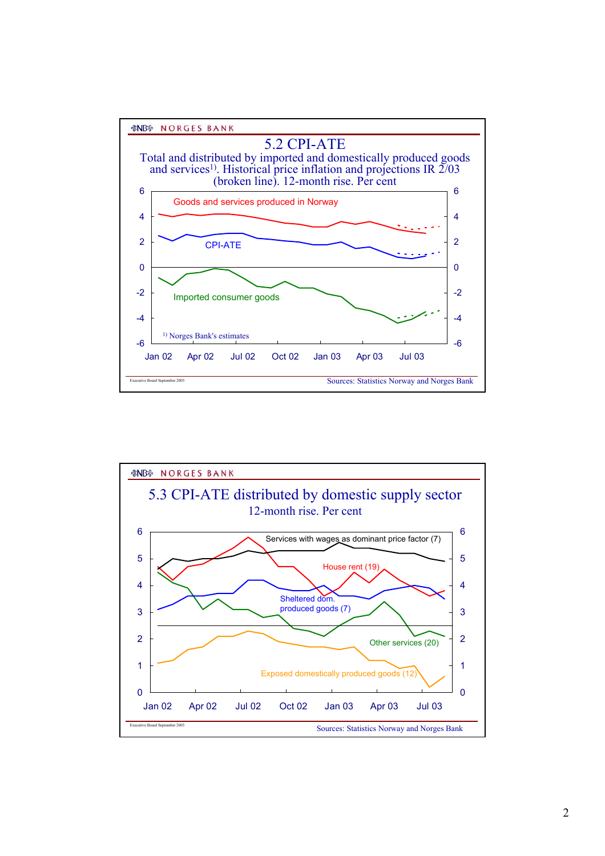*&NB* **NORGES BANK** 



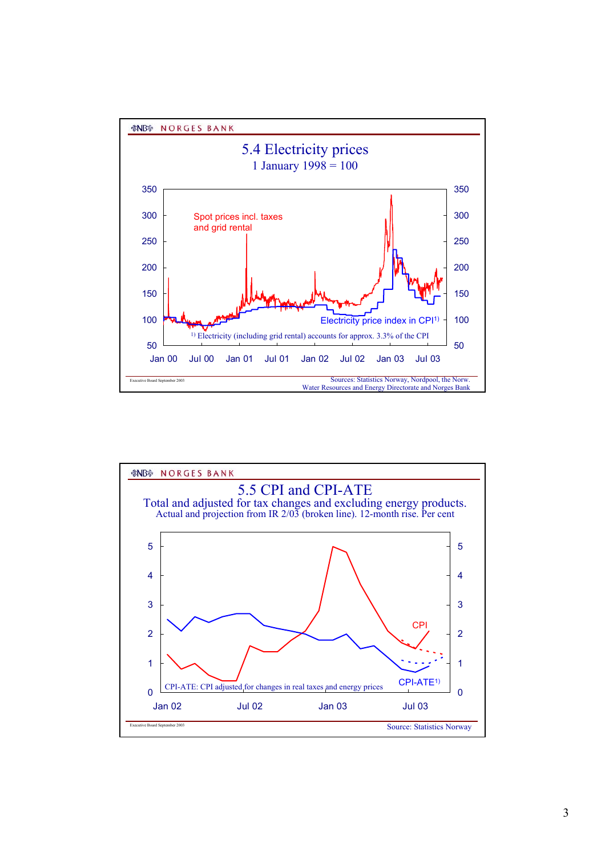

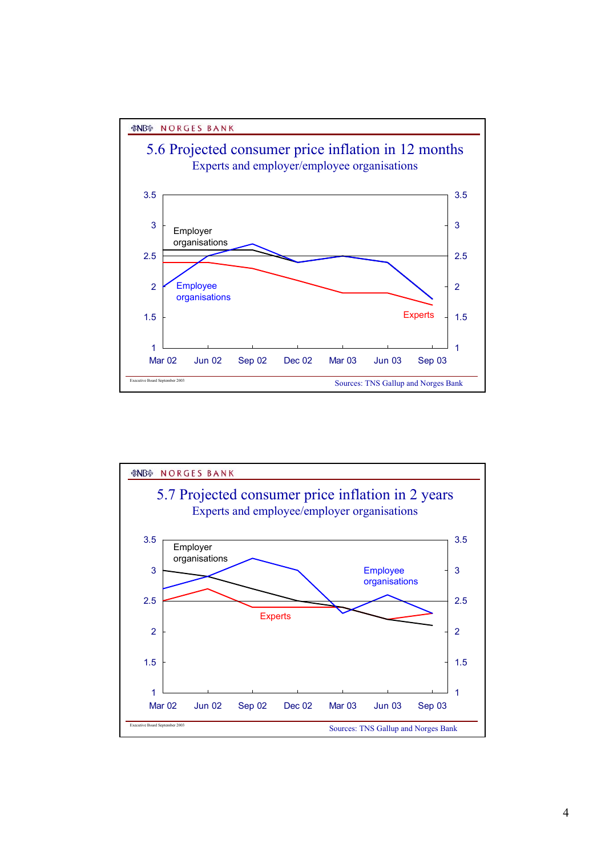

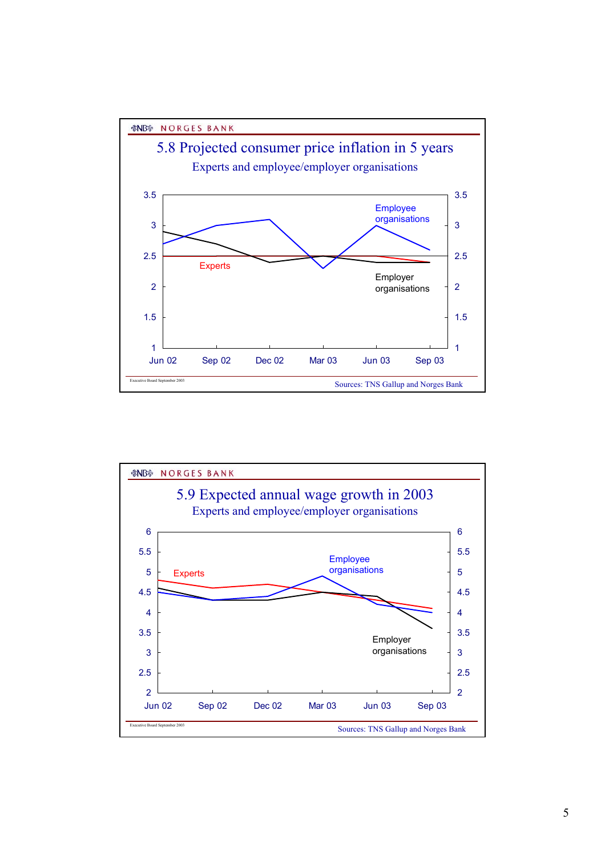